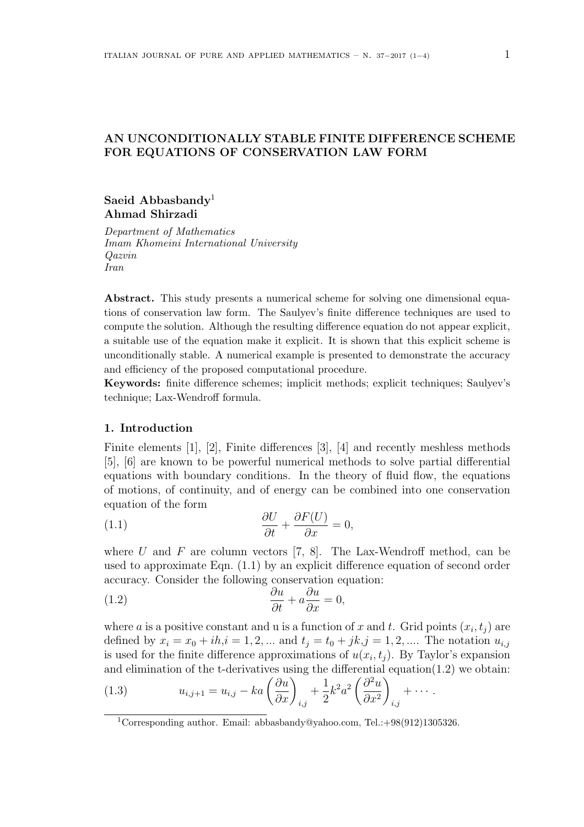# **AN UNCONDITIONALLY STABLE FINITE DIFFERENCE SCHEME FOR EQUATIONS OF CONSERVATION LAW FORM**

## **Saeid Abbasbandy**<sup>1</sup> **Ahmad Shirzadi**

*Department of Mathematics Imam Khomeini International University Qazvin Iran*

**Abstract.** This study presents a numerical scheme for solving one dimensional equations of conservation law form. The Saulyev's finite difference techniques are used to compute the solution. Although the resulting difference equation do not appear explicit, a suitable use of the equation make it explicit. It is shown that this explicit scheme is unconditionally stable. A numerical example is presented to demonstrate the accuracy and efficiency of the proposed computational procedure.

**Keywords:** finite difference schemes; implicit methods; explicit techniques; Saulyev's technique; Lax-Wendroff formula.

#### **1. Introduction**

Finite elements [1], [2], Finite differences [3], [4] and recently meshless methods [5], [6] are known to be powerful numerical methods to solve partial differential equations with boundary conditions. In the theory of fluid flow, the equations of motions, of continuity, and of energy can be combined into one conservation equation of the form

(1.1) 
$$
\frac{\partial U}{\partial t} + \frac{\partial F(U)}{\partial x} = 0,
$$

where  $U$  and  $F$  are column vectors  $[7, 8]$ . The Lax-Wendroff method, can be used to approximate Eqn. (1.1) by an explicit difference equation of second order accuracy. Consider the following conservation equation:

(1.2) 
$$
\frac{\partial u}{\partial t} + a \frac{\partial u}{\partial x} = 0,
$$

where *a* is a positive constant and *u* is a function of *x* and *t*. Grid points  $(x_i, t_j)$  are defined by  $x_i = x_0 + ih, i = 1, 2, ...$  and  $t_j = t_0 + jk, j = 1, 2, ...$  The notation  $u_{i,j}$ is used for the finite difference approximations of  $u(x_i, t_j)$ . By Taylor's expansion and elimination of the t-derivatives using the differential equation $(1.2)$  we obtain:

(1.3) 
$$
u_{i,j+1} = u_{i,j} - ka\left(\frac{\partial u}{\partial x}\right)_{i,j} + \frac{1}{2}k^2 a^2 \left(\frac{\partial^2 u}{\partial x^2}\right)_{i,j} + \cdots
$$

<sup>&</sup>lt;sup>1</sup>Corresponding author. Email: abbasbandy@yahoo.com, Tel.:+98(912)1305326.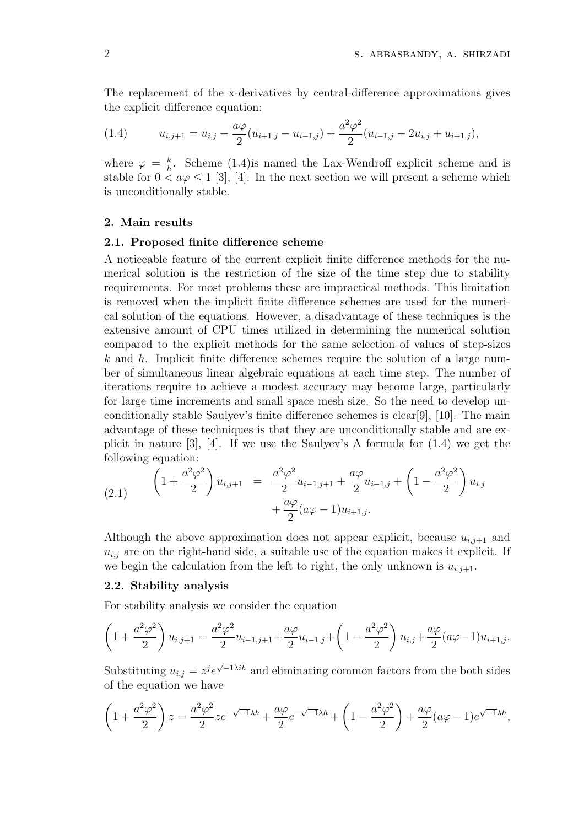The replacement of the x-derivatives by central-difference approximations gives the explicit difference equation:

(1.4) 
$$
u_{i,j+1} = u_{i,j} - \frac{a\varphi}{2}(u_{i+1,j} - u_{i-1,j}) + \frac{a^2\varphi^2}{2}(u_{i-1,j} - 2u_{i,j} + u_{i+1,j}),
$$

where  $\varphi = \frac{k}{h}$  $\frac{k}{h}$ . Scheme (1.4) is named the Lax-Wendroff explicit scheme and is stable for  $0 < a\varphi \le 1$  [3], [4]. In the next section we will present a scheme which is unconditionally stable.

## **2. Main results**

#### **2.1. Proposed finite difference scheme**

A noticeable feature of the current explicit finite difference methods for the numerical solution is the restriction of the size of the time step due to stability requirements. For most problems these are impractical methods. This limitation is removed when the implicit finite difference schemes are used for the numerical solution of the equations. However, a disadvantage of these techniques is the extensive amount of CPU times utilized in determining the numerical solution compared to the explicit methods for the same selection of values of step-sizes *k* and *h*. Implicit finite difference schemes require the solution of a large number of simultaneous linear algebraic equations at each time step. The number of iterations require to achieve a modest accuracy may become large, particularly for large time increments and small space mesh size. So the need to develop unconditionally stable Saulyev's finite difference schemes is clear[9], [10]. The main advantage of these techniques is that they are unconditionally stable and are explicit in nature  $[3]$ ,  $[4]$ . If we use the Saulyev's A formula for  $(1.4)$  we get the following equation:

(2.1) 
$$
\left(1+\frac{a^2\varphi^2}{2}\right)u_{i,j+1} = \frac{a^2\varphi^2}{2}u_{i-1,j+1} + \frac{a\varphi}{2}u_{i-1,j} + \left(1-\frac{a^2\varphi^2}{2}\right)u_{i,j} + \frac{a\varphi}{2}(a\varphi-1)u_{i+1,j}.
$$

Although the above approximation does not appear explicit, because  $u_{i,j+1}$  and  $u_{i,j}$  are on the right-hand side, a suitable use of the equation makes it explicit. If we begin the calculation from the left to right, the only unknown is  $u_{i,j+1}$ .

## **2.2. Stability analysis**

For stability analysis we consider the equation

$$
\left(1+\frac{a^2\varphi^2}{2}\right)u_{i,j+1} = \frac{a^2\varphi^2}{2}u_{i-1,j+1} + \frac{a\varphi}{2}u_{i-1,j} + \left(1-\frac{a^2\varphi^2}{2}\right)u_{i,j} + \frac{a\varphi}{2}(a\varphi-1)u_{i+1,j}.
$$

Substituting  $u_{i,j} = z^j e^{\sqrt{-1}\lambda i h}$  and eliminating common factors from the both sides of the equation we have

$$
\left(1+\frac{a^2\varphi^2}{2}\right)z = \frac{a^2\varphi^2}{2}ze^{-\sqrt{-1}\lambda h} + \frac{a\varphi}{2}e^{-\sqrt{-1}\lambda h} + \left(1-\frac{a^2\varphi^2}{2}\right) + \frac{a\varphi}{2}(a\varphi-1)e^{\sqrt{-1}\lambda h},
$$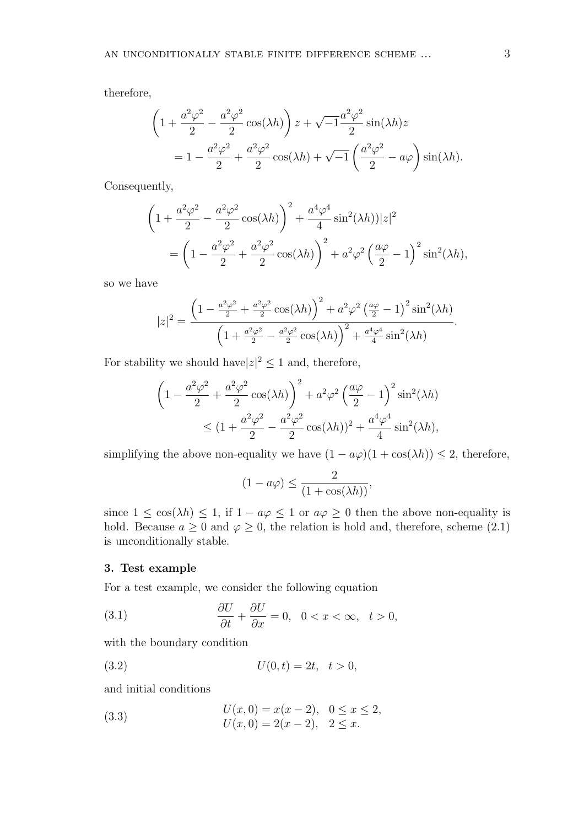therefore,

$$
\left(1 + \frac{a^2\varphi^2}{2} - \frac{a^2\varphi^2}{2}\cos(\lambda h)\right)z + \sqrt{-1}\frac{a^2\varphi^2}{2}\sin(\lambda h)z
$$
  
= 
$$
1 - \frac{a^2\varphi^2}{2} + \frac{a^2\varphi^2}{2}\cos(\lambda h) + \sqrt{-1}\left(\frac{a^2\varphi^2}{2} - a\varphi\right)\sin(\lambda h).
$$

Consequently,

$$
\left(1+\frac{a^2\varphi^2}{2}-\frac{a^2\varphi^2}{2}\cos(\lambda h)\right)^2+\frac{a^4\varphi^4}{4}\sin^2(\lambda h))|z|^2
$$
  
= 
$$
\left(1-\frac{a^2\varphi^2}{2}+\frac{a^2\varphi^2}{2}\cos(\lambda h)\right)^2+a^2\varphi^2\left(\frac{a\varphi}{2}-1\right)^2\sin^2(\lambda h),
$$

so we have

$$
|z|^2 = \frac{\left(1 - \frac{a^2 \varphi^2}{2} + \frac{a^2 \varphi^2}{2} \cos(\lambda h)\right)^2 + a^2 \varphi^2 \left(\frac{a\varphi}{2} - 1\right)^2 \sin^2(\lambda h)}{\left(1 + \frac{a^2 \varphi^2}{2} - \frac{a^2 \varphi^2}{2} \cos(\lambda h)\right)^2 + \frac{a^4 \varphi^4}{4} \sin^2(\lambda h)}.
$$

For stability we should have $|z|^2 \leq 1$  and, therefore,

$$
\left(1 - \frac{a^2\varphi^2}{2} + \frac{a^2\varphi^2}{2}\cos(\lambda h)\right)^2 + a^2\varphi^2\left(\frac{a\varphi}{2} - 1\right)^2\sin^2(\lambda h)
$$
  
 
$$
\leq \left(1 + \frac{a^2\varphi^2}{2} - \frac{a^2\varphi^2}{2}\cos(\lambda h)\right)^2 + \frac{a^4\varphi^4}{4}\sin^2(\lambda h),
$$

simplifying the above non-equality we have  $(1 - a\varphi)(1 + \cos(\lambda h)) \leq 2$ , therefore,

$$
(1 - a\varphi) \le \frac{2}{(1 + \cos(\lambda h))},
$$

since  $1 \leq \cos(\lambda h) \leq 1$ , if  $1 - a\varphi \leq 1$  or  $a\varphi \geq 0$  then the above non-equality is hold. Because  $a \geq 0$  and  $\varphi \geq 0$ , the relation is hold and, therefore, scheme (2.1) is unconditionally stable.

## **3. Test example**

For a test example, we consider the following equation

(3.1) 
$$
\frac{\partial U}{\partial t} + \frac{\partial U}{\partial x} = 0, \quad 0 < x < \infty, \quad t > 0,
$$

with the boundary condition

(3.2) 
$$
U(0,t) = 2t, \quad t > 0,
$$

and initial conditions

(3.3) 
$$
U(x, 0) = x(x - 2), \quad 0 \le x \le 2, U(x, 0) = 2(x - 2), \quad 2 \le x.
$$